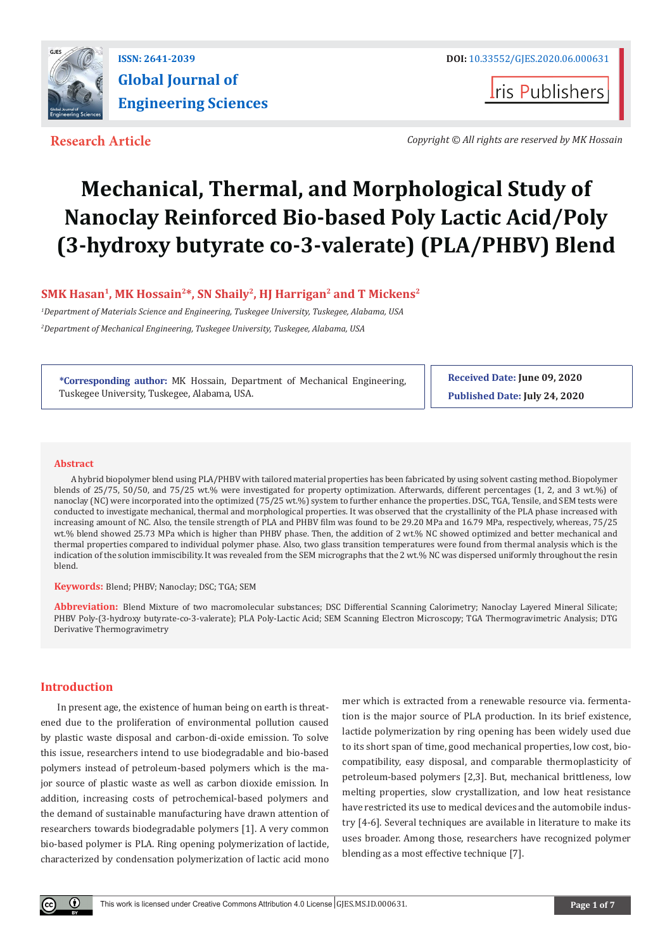

**I**ris Publishers

**Research Article** *Copyright © All rights are reserved by MK Hossain*

# **Mechanical, Thermal, and Morphological Study of Nanoclay Reinforced Bio-based Poly Lactic Acid/Poly (3-hydroxy butyrate co-3-valerate) (PLA/PHBV) Blend**

# SMK Hasan<sup>1</sup>, MK Hossain<sup>2\*</sup>, SN Shaily<sup>2</sup>, HJ Harrigan<sup>2</sup> and T Mickens<sup>2</sup>

*1 Department of Materials Science and Engineering, Tuskegee University, Tuskegee, Alabama, USA 2 Department of Mechanical Engineering, Tuskegee University, Tuskegee, Alabama, USA*

**\*Corresponding author:** MK Hossain, Department of Mechanical Engineering, Tuskegee University, Tuskegee, Alabama, USA.

**Received Date: June 09, 2020 Published Date: July 24, 2020**

#### **Abstract**

A hybrid biopolymer blend using PLA/PHBV with tailored material properties has been fabricated by using solvent casting method. Biopolymer blends of 25/75, 50/50, and 75/25 wt.% were investigated for property optimization. Afterwards, different percentages (1, 2, and 3 wt.%) of nanoclay (NC) were incorporated into the optimized (75/25 wt.%) system to further enhance the properties. DSC, TGA, Tensile, and SEM tests were conducted to investigate mechanical, thermal and morphological properties. It was observed that the crystallinity of the PLA phase increased with increasing amount of NC. Also, the tensile strength of PLA and PHBV film was found to be 29.20 MPa and 16.79 MPa, respectively, whereas, 75/25 wt.% blend showed 25.73 MPa which is higher than PHBV phase. Then, the addition of 2 wt.% NC showed optimized and better mechanical and thermal properties compared to individual polymer phase. Also, two glass transition temperatures were found from thermal analysis which is the indication of the solution immiscibility. It was revealed from the SEM micrographs that the 2 wt.% NC was dispersed uniformly throughout the resin blend.

**Keywords:** Blend; PHBV; Nanoclay; DSC; TGA; SEM

**Abbreviation:** Blend Mixture of two macromolecular substances; DSC Differential Scanning Calorimetry; Nanoclay Layered Mineral Silicate; PHBV Poly-(3-hydroxy butyrate-co-3-valerate); PLA Poly-Lactic Acid; SEM Scanning Electron Microscopy; TGA Thermogravimetric Analysis; DTG Derivative Thermogravimetry

## **Introduction**

In present age, the existence of human being on earth is threatened due to the proliferation of environmental pollution caused by plastic waste disposal and carbon-di-oxide emission. To solve this issue, researchers intend to use biodegradable and bio-based polymers instead of petroleum-based polymers which is the major source of plastic waste as well as carbon dioxide emission. In addition, increasing costs of petrochemical-based polymers and the demand of sustainable manufacturing have drawn attention of researchers towards biodegradable polymers [1]. A very common bio-based polymer is PLA. Ring opening polymerization of lactide, characterized by condensation polymerization of lactic acid mono

mer which is extracted from a renewable resource via. fermentation is the major source of PLA production. In its brief existence, lactide polymerization by ring opening has been widely used due to its short span of time, good mechanical properties, low cost, biocompatibility, easy disposal, and comparable thermoplasticity of petroleum-based polymers [2,3]. But, mechanical brittleness, low melting properties, slow crystallization, and low heat resistance have restricted its use to medical devices and the automobile industry [4-6]. Several techniques are available in literature to make its uses broader. Among those, researchers have recognized polymer blending as a most effective technique [7].

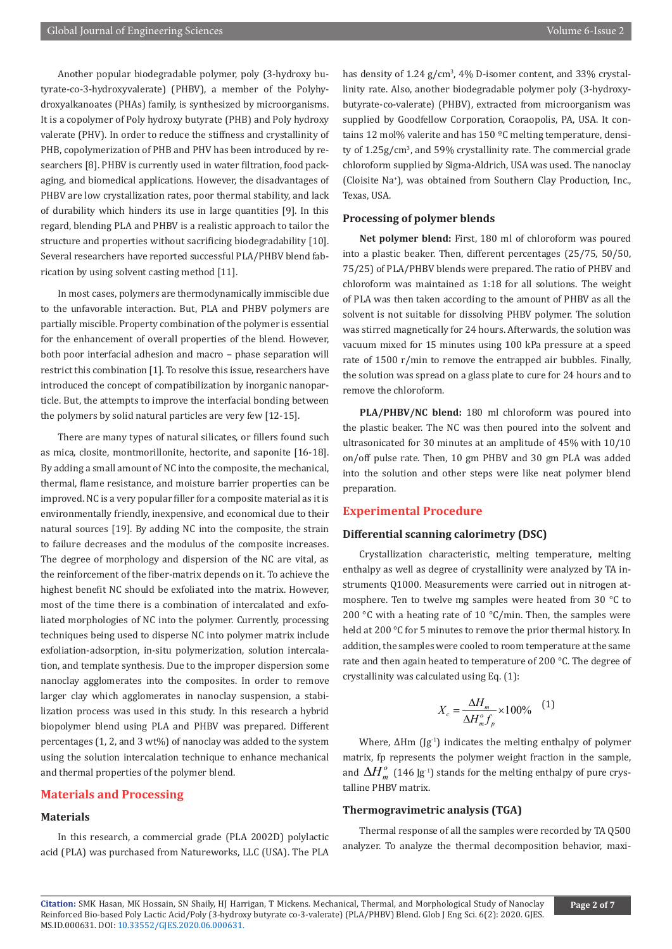Another popular biodegradable polymer, poly (3-hydroxy butyrate-co-3-hydroxyvalerate) (PHBV), a member of the Polyhydroxyalkanoates (PHAs) family, is synthesized by microorganisms. It is a copolymer of Poly hydroxy butyrate (PHB) and Poly hydroxy valerate (PHV). In order to reduce the stiffness and crystallinity of PHB, copolymerization of PHB and PHV has been introduced by researchers [8]. PHBV is currently used in water filtration, food packaging, and biomedical applications. However, the disadvantages of PHBV are low crystallization rates, poor thermal stability, and lack of durability which hinders its use in large quantities [9]. In this regard, blending PLA and PHBV is a realistic approach to tailor the structure and properties without sacrificing biodegradability [10]. Several researchers have reported successful PLA/PHBV blend fabrication by using solvent casting method [11].

In most cases, polymers are thermodynamically immiscible due to the unfavorable interaction. But, PLA and PHBV polymers are partially miscible. Property combination of the polymer is essential for the enhancement of overall properties of the blend. However, both poor interfacial adhesion and macro – phase separation will restrict this combination [1]. To resolve this issue, researchers have introduced the concept of compatibilization by inorganic nanoparticle. But, the attempts to improve the interfacial bonding between the polymers by solid natural particles are very few [12-15].

There are many types of natural silicates, or fillers found such as mica, closite, montmorillonite, hectorite, and saponite [16-18]. By adding a small amount of NC into the composite, the mechanical, thermal, flame resistance, and moisture barrier properties can be improved. NC is a very popular filler for a composite material as it is environmentally friendly, inexpensive, and economical due to their natural sources [19]. By adding NC into the composite, the strain to failure decreases and the modulus of the composite increases. The degree of morphology and dispersion of the NC are vital, as the reinforcement of the fiber-matrix depends on it. To achieve the highest benefit NC should be exfoliated into the matrix. However, most of the time there is a combination of intercalated and exfoliated morphologies of NC into the polymer. Currently, processing techniques being used to disperse NC into polymer matrix include exfoliation-adsorption, in-situ polymerization, solution intercalation, and template synthesis. Due to the improper dispersion some nanoclay agglomerates into the composites. In order to remove larger clay which agglomerates in nanoclay suspension, a stabilization process was used in this study. In this research a hybrid biopolymer blend using PLA and PHBV was prepared. Different percentages (1, 2, and 3 wt%) of nanoclay was added to the system using the solution intercalation technique to enhance mechanical and thermal properties of the polymer blend.

## **Materials and Processing**

# **Materials**

In this research, a commercial grade (PLA 2002D) polylactic acid (PLA) was purchased from Natureworks, LLC (USA). The PLA

has density of 1.24 g/cm<sup>3</sup>, 4% D-isomer content, and 33% crystallinity rate. Also, another biodegradable polymer poly (3-hydroxybutyrate-co-valerate) (PHBV), extracted from microorganism was supplied by Goodfellow Corporation, Coraopolis, PA, USA. It contains 12 mol% valerite and has 150 ºC melting temperature, density of 1.25g/cm<sup>3</sup>, and 59% crystallinity rate. The commercial grade chloroform supplied by Sigma-Aldrich, USA was used. The nanoclay (Cloisite Na+ ), was obtained from Southern Clay Production, Inc., Texas, USA.

# **Processing of polymer blends**

**Net polymer blend:** First, 180 ml of chloroform was poured into a plastic beaker. Then, different percentages (25/75, 50/50, 75/25) of PLA/PHBV blends were prepared. The ratio of PHBV and chloroform was maintained as 1:18 for all solutions. The weight of PLA was then taken according to the amount of PHBV as all the solvent is not suitable for dissolving PHBV polymer. The solution was stirred magnetically for 24 hours. Afterwards, the solution was vacuum mixed for 15 minutes using 100 kPa pressure at a speed rate of 1500 r/min to remove the entrapped air bubbles. Finally, the solution was spread on a glass plate to cure for 24 hours and to remove the chloroform.

**PLA/PHBV/NC blend:** 180 ml chloroform was poured into the plastic beaker. The NC was then poured into the solvent and ultrasonicated for 30 minutes at an amplitude of 45% with 10/10 on/off pulse rate. Then, 10 gm PHBV and 30 gm PLA was added into the solution and other steps were like neat polymer blend preparation.

## **Experimental Procedure**

#### **Differential scanning calorimetry (DSC)**

Crystallization characteristic, melting temperature, melting enthalpy as well as degree of crystallinity were analyzed by TA instruments Q1000. Measurements were carried out in nitrogen atmosphere. Ten to twelve mg samples were heated from 30 °C to 200 °C with a heating rate of 10 °C/min. Then, the samples were held at 200 °C for 5 minutes to remove the prior thermal history. In addition, the samples were cooled to room temperature at the same rate and then again heated to temperature of 200 °C. The degree of crystallinity was calculated using Eq. (1):

$$
X_c = \frac{\Delta H_m}{\Delta H_m^o f_p} \times 100\% \quad (1)
$$

Where,  $\Delta$ Hm (Jg<sup>-1</sup>) indicates the melting enthalpy of polymer matrix, fp represents the polymer weight fraction in the sample, and  $\Delta H_m^o$  (146 Jg<sup>-1</sup>) stands for the melting enthalpy of pure crystalline PHBV matrix.

## **Thermogravimetric analysis (TGA)**

Thermal response of all the samples were recorded by TA Q500 analyzer. To analyze the thermal decomposition behavior, maxi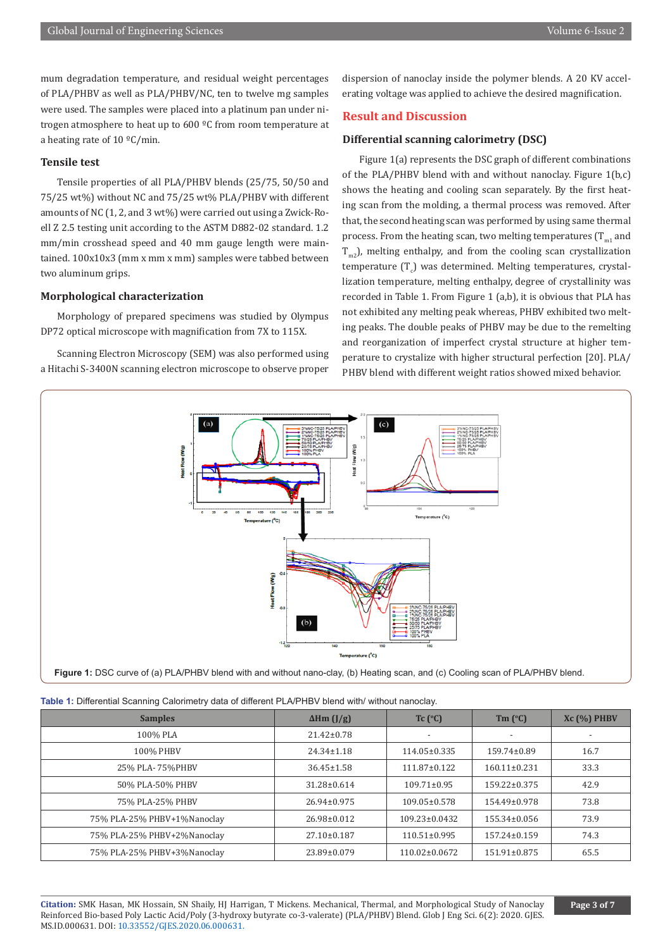mum degradation temperature, and residual weight percentages of PLA/PHBV as well as PLA/PHBV/NC, ten to twelve mg samples were used. The samples were placed into a platinum pan under nitrogen atmosphere to heat up to 600 ºC from room temperature at a heating rate of 10 ºC/min.

#### **Tensile test**

Tensile properties of all PLA/PHBV blends (25/75, 50/50 and 75/25 wt%) without NC and 75/25 wt% PLA/PHBV with different amounts of NC (1, 2, and 3 wt%) were carried out using a Zwick-Roell Z 2.5 testing unit according to the ASTM D882-02 standard. 1.2 mm/min crosshead speed and 40 mm gauge length were maintained. 100x10x3 (mm x mm x mm) samples were tabbed between two aluminum grips.

#### **Morphological characterization**

Morphology of prepared specimens was studied by Olympus DP72 optical microscope with magnification from 7X to 115X.

Scanning Electron Microscopy (SEM) was also performed using a Hitachi S-3400N scanning electron microscope to observe proper dispersion of nanoclay inside the polymer blends. A 20 KV accelerating voltage was applied to achieve the desired magnification.

# **Result and Discussion**

#### **Differential scanning calorimetry (DSC)**

Figure 1(a) represents the DSC graph of different combinations of the PLA/PHBV blend with and without nanoclay. Figure 1(b,c) shows the heating and cooling scan separately. By the first heating scan from the molding, a thermal process was removed. After that, the second heating scan was performed by using same thermal process. From the heating scan, two melting temperatures  $(T_{m1})$  and  $T_{m2}$ ), melting enthalpy, and from the cooling scan crystallization  $t$ emperature  $(T_c)$  was determined. Melting temperatures, crystallization temperature, melting enthalpy, degree of crystallinity was recorded in Table 1. From Figure 1 (a,b), it is obvious that PLA has not exhibited any melting peak whereas, PHBV exhibited two melting peaks. The double peaks of PHBV may be due to the remelting and reorganization of imperfect crystal structure at higher temperature to crystalize with higher structural perfection [20]. PLA/ PHBV blend with different weight ratios showed mixed behavior.



|  | Table 1: Differential Scanning Calorimetry data of different PLA/PHBV blend with/ without nanoclay. |  |  |  |  |  |  |  |  |
|--|-----------------------------------------------------------------------------------------------------|--|--|--|--|--|--|--|--|
|--|-----------------------------------------------------------------------------------------------------|--|--|--|--|--|--|--|--|

| <b>Samples</b>              | $\Delta$ Hm (J/g) | $Tc$ ( $^{\circ}$ C) | $Tm$ ( $^{\circ}C$ ) | $Xc(%)$ PHBV |
|-----------------------------|-------------------|----------------------|----------------------|--------------|
| 100% PLA                    | $21.42 \pm 0.78$  |                      |                      |              |
| 100% PHBV                   | $24.34 \pm 1.18$  | 114.05±0.335         | 159.74±0.89          | 16.7         |
| 25% PLA-75%PHBV             | $36.45 \pm 1.58$  | 111.87±0.122         | $160.11 \pm 0.231$   | 33.3         |
| 50% PLA-50% PHBV            | 31.28±0.614       | $109.71 \pm 0.95$    | 159.22±0.375         | 42.9         |
| 75% PLA-25% PHBV            | 26.94±0.975       | $109.05 \pm 0.578$   | $154.49 \pm 0.978$   | 73.8         |
| 75% PLA-25% PHBV+1%Nanoclay | 26.98±0.012       | 109.23±0.0432        | 155.34±0.056         | 73.9         |
| 75% PLA-25% PHBV+2%Nanoclay | 27.10±0.187       | $110.51 \pm 0.995$   | 157.24±0.159         | 74.3         |
| 75% PLA-25% PHBV+3%Nanoclay | 23.89±0.079       | $110.02 \pm 0.0672$  | 151.91±0.875         | 65.5         |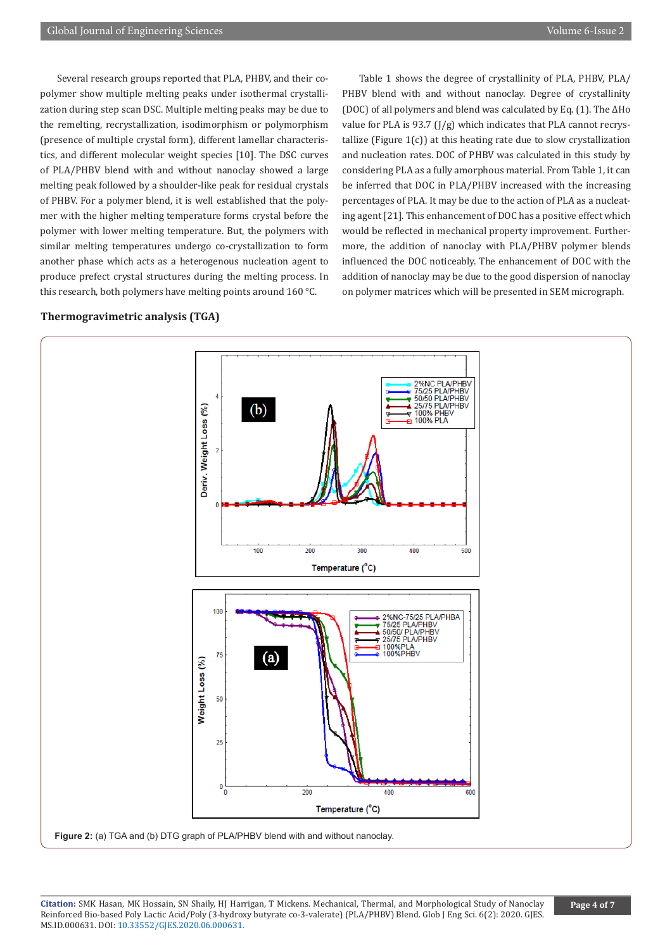Several research groups reported that PLA, PHBV, and their copolymer show multiple melting peaks under isothermal crystallization during step scan DSC. Multiple melting peaks may be due to the remelting, recrystallization, isodimorphism or polymorphism (presence of multiple crystal form), different lamellar characteristics, and different molecular weight species [10]. The DSC curves of PLA/PHBV blend with and without nanoclay showed a large melting peak followed by a shoulder-like peak for residual crystals of PHBV. For a polymer blend, it is well established that the polymer with the higher melting temperature forms crystal before the polymer with lower melting temperature. But, the polymers with similar melting temperatures undergo co-crystallization to form another phase which acts as a heterogenous nucleation agent to produce prefect crystal structures during the melting process. In this research, both polymers have melting points around 160 °C.

Table 1 shows the degree of crystallinity of PLA, PHBV, PLA/ PHBV blend with and without nanoclay. Degree of crystallinity (DOC) of all polymers and blend was calculated by Eq. (1). The ΔHo value for PLA is 93.7 (J/g) which indicates that PLA cannot recrystallize (Figure  $1(c)$ ) at this heating rate due to slow crystallization and nucleation rates. DOC of PHBV was calculated in this study by considering PLA as a fully amorphous material. From Table 1, it can be inferred that DOC in PLA/PHBV increased with the increasing percentages of PLA. It may be due to the action of PLA as a nucleating agent [21]. This enhancement of DOC has a positive effect which would be reflected in mechanical property improvement. Furthermore, the addition of nanoclay with PLA/PHBV polymer blends influenced the DOC noticeably. The enhancement of DOC with the addition of nanoclay may be due to the good dispersion of nanoclay on polymer matrices which will be presented in SEM micrograph.

# **Thermogravimetric analysis (TGA)**



**Figure 2:** (a) TGA and (b) DTG graph of PLA/PHBV blend with and without nanoclay.

**Citation:** SMK Hasan, MK Hossain, SN Shaily, HJ Harrigan, T Mickens. Mechanical, Thermal, and Morphological Study of Nanoclay Reinforced Bio-based Poly Lactic Acid/Poly (3-hydroxy butyrate co-3-valerate) (PLA/PHBV) Blend. Glob J Eng Sci. 6(2): 2020. GJES. MS.ID.000631. DOI: [10.33552/GJES.2020.06.000631.](http://dx.doi.org/10.33552/GJES.2020.06.000631)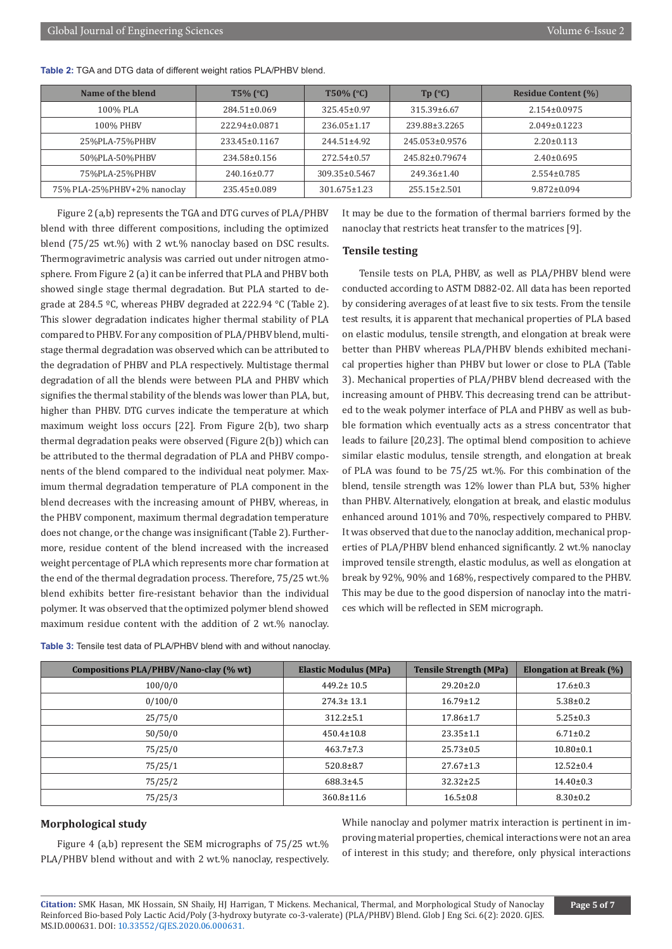| Name of the blend           | $T5\%$ (°C)        | $T50\%$ (°C)       | $Tp$ ( $C$ )       | <b>Residue Content (%)</b> |
|-----------------------------|--------------------|--------------------|--------------------|----------------------------|
| 100% PLA                    | $284.51 \pm 0.069$ | $325.45 \pm 0.97$  | 315.39±6.67        | $2.154 \pm 0.0975$         |
| 100% PHBV                   | 222.94±0.0871      | $236.05 \pm 1.17$  | 239.88±3.2265      | $2.049 \pm 0.1223$         |
| 25%PLA-75%PHBV              | 233.45±0.1167      | $244.51 \pm 4.92$  | 245.053±0.9576     | $2.20 \pm 0.113$           |
| 50%PLA-50%PHBV              | $234.58 \pm 0.156$ | 272.54±0.57        | 245.82±0.79674     | $2.40\pm0.695$             |
| 75%PLA-25%PHBV              | $240.16 \pm 0.77$  | 309.35±0.5467      | $249.36 \pm 1.40$  | $2.554 \pm 0.785$          |
| 75% PLA-25%PHBV+2% nanoclay | 235.45±0.089       | $301.675 \pm 1.23$ | $255.15 \pm 2.501$ | $9.872 \pm 0.094$          |

**Table 2:** TGA and DTG data of different weight ratios PLA/PHBV blend.

Figure 2 (a,b) represents the TGA and DTG curves of PLA/PHBV blend with three different compositions, including the optimized blend (75/25 wt.%) with 2 wt.% nanoclay based on DSC results. Thermogravimetric analysis was carried out under nitrogen atmosphere. From Figure 2 (a) it can be inferred that PLA and PHBV both showed single stage thermal degradation. But PLA started to degrade at 284.5 ºC, whereas PHBV degraded at 222.94 °C (Table 2). This slower degradation indicates higher thermal stability of PLA compared to PHBV. For any composition of PLA/PHBV blend, multistage thermal degradation was observed which can be attributed to the degradation of PHBV and PLA respectively. Multistage thermal degradation of all the blends were between PLA and PHBV which signifies the thermal stability of the blends was lower than PLA, but, higher than PHBV. DTG curves indicate the temperature at which maximum weight loss occurs [22]. From Figure 2(b), two sharp thermal degradation peaks were observed (Figure 2(b)) which can be attributed to the thermal degradation of PLA and PHBV components of the blend compared to the individual neat polymer. Maximum thermal degradation temperature of PLA component in the blend decreases with the increasing amount of PHBV, whereas, in the PHBV component, maximum thermal degradation temperature does not change, or the change was insignificant (Table 2). Furthermore, residue content of the blend increased with the increased weight percentage of PLA which represents more char formation at the end of the thermal degradation process. Therefore, 75/25 wt.% blend exhibits better fire-resistant behavior than the individual polymer. It was observed that the optimized polymer blend showed maximum residue content with the addition of 2 wt.% nanoclay.

It may be due to the formation of thermal barriers formed by the nanoclay that restricts heat transfer to the matrices [9].

#### **Tensile testing**

Tensile tests on PLA, PHBV, as well as PLA/PHBV blend were conducted according to ASTM D882-02. All data has been reported by considering averages of at least five to six tests. From the tensile test results, it is apparent that mechanical properties of PLA based on elastic modulus, tensile strength, and elongation at break were better than PHBV whereas PLA/PHBV blends exhibited mechanical properties higher than PHBV but lower or close to PLA (Table 3). Mechanical properties of PLA/PHBV blend decreased with the increasing amount of PHBV. This decreasing trend can be attributed to the weak polymer interface of PLA and PHBV as well as bubble formation which eventually acts as a stress concentrator that leads to failure [20,23]. The optimal blend composition to achieve similar elastic modulus, tensile strength, and elongation at break of PLA was found to be 75/25 wt.%. For this combination of the blend, tensile strength was 12% lower than PLA but, 53% higher than PHBV. Alternatively, elongation at break, and elastic modulus enhanced around 101% and 70%, respectively compared to PHBV. It was observed that due to the nanoclay addition, mechanical properties of PLA/PHBV blend enhanced significantly. 2 wt.% nanoclay improved tensile strength, elastic modulus, as well as elongation at break by 92%, 90% and 168%, respectively compared to the PHBV. This may be due to the good dispersion of nanoclay into the matrices which will be reflected in SEM micrograph.

| <b>Table 3:</b> Tensile test data of PLA/PHBV blend with and without nanoclay. |  |
|--------------------------------------------------------------------------------|--|
|                                                                                |  |

| Compositions PLA/PHBV/Nano-clay (% wt) | <b>Elastic Modulus (MPa)</b> | <b>Tensile Strength (MPa)</b> | <b>Elongation at Break (%)</b> |
|----------------------------------------|------------------------------|-------------------------------|--------------------------------|
| 100/0/0                                | $449.2 \pm 10.5$             | $29.20 \pm 2.0$               | $17.6 \pm 0.3$                 |
| 0/100/0                                | $274.3 \pm 13.1$             | $16.79 \pm 1.2$               | $5.38 \pm 0.2$                 |
| 25/75/0                                | $312.2 \pm 5.1$              | $17.86 \pm 1.7$               | $5.25 \pm 0.3$                 |
| 50/50/0                                | $450.4 \pm 10.8$             | $23.35 \pm 1.1$               | $6.71 \pm 0.2$                 |
| 75/25/0                                | $463.7 \pm 7.3$              | $25.73 \pm 0.5$               | $10.80 \pm 0.1$                |
| 75/25/1                                | $520.8 \pm 8.7$              | $27.67 \pm 1.3$               | $12.52 \pm 0.4$                |
| 75/25/2                                | $688.3 \pm 4.5$              | $32.32 \pm 2.5$               | $14.40 \pm 0.3$                |
| 75/25/3                                | $360.8 \pm 11.6$             | $16.5 \pm 0.8$                | $8.30 \pm 0.2$                 |

#### **Morphological study**

Figure 4 (a,b) represent the SEM micrographs of 75/25 wt.% PLA/PHBV blend without and with 2 wt.% nanoclay, respectively. While nanoclay and polymer matrix interaction is pertinent in improving material properties, chemical interactions were not an area of interest in this study; and therefore, only physical interactions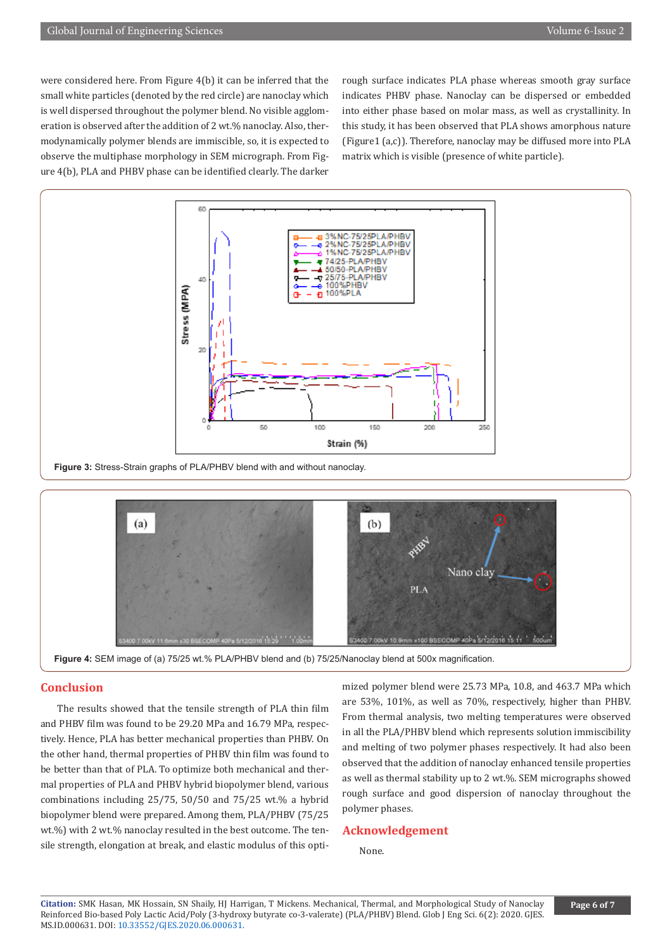were considered here. From Figure 4(b) it can be inferred that the small white particles (denoted by the red circle) are nanoclay which is well dispersed throughout the polymer blend. No visible agglomeration is observed after the addition of 2 wt.% nanoclay. Also, thermodynamically polymer blends are immiscible, so, it is expected to observe the multiphase morphology in SEM micrograph. From Figure 4(b), PLA and PHBV phase can be identified clearly. The darker

rough surface indicates PLA phase whereas smooth gray surface indicates PHBV phase. Nanoclay can be dispersed or embedded into either phase based on molar mass, as well as crystallinity. In this study, it has been observed that PLA shows amorphous nature (Figure1 (a,c)). Therefore, nanoclay may be diffused more into PLA matrix which is visible (presence of white particle).







# **Conclusion**

The results showed that the tensile strength of PLA thin film and PHBV film was found to be 29.20 MPa and 16.79 MPa, respectively. Hence, PLA has better mechanical properties than PHBV. On the other hand, thermal properties of PHBV thin film was found to be better than that of PLA. To optimize both mechanical and thermal properties of PLA and PHBV hybrid biopolymer blend, various combinations including 25/75, 50/50 and 75/25 wt.% a hybrid biopolymer blend were prepared. Among them, PLA/PHBV (75/25 wt.%) with 2 wt.% nanoclay resulted in the best outcome. The tensile strength, elongation at break, and elastic modulus of this optimized polymer blend were 25.73 MPa, 10.8, and 463.7 MPa which are 53%, 101%, as well as 70%, respectively, higher than PHBV. From thermal analysis, two melting temperatures were observed in all the PLA/PHBV blend which represents solution immiscibility and melting of two polymer phases respectively. It had also been observed that the addition of nanoclay enhanced tensile properties as well as thermal stability up to 2 wt.%. SEM micrographs showed rough surface and good dispersion of nanoclay throughout the polymer phases.

#### **Acknowledgement**

None.